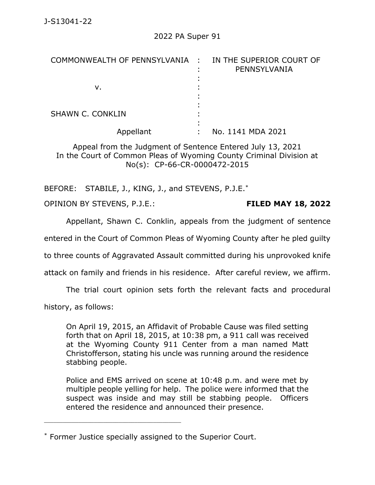| COMMONWEALTH OF PENNSYLVANIA : IN THE SUPERIOR COURT OF | PENNSYLVANIA      |
|---------------------------------------------------------|-------------------|
| ν.                                                      |                   |
| <b>SHAWN C. CONKLIN</b>                                 |                   |
| Appellant                                               | No. 1141 MDA 2021 |

Appeal from the Judgment of Sentence Entered July 13, 2021 In the Court of Common Pleas of Wyoming County Criminal Division at No(s): CP-66-CR-0000472-2015

BEFORE: STABILE, J., KING, J., and STEVENS, P.J.E.<sup>\*</sup>

OPINION BY STEVENS, P.J.E.: **FILED MAY 18, 2022**

Appellant, Shawn C. Conklin, appeals from the judgment of sentence

entered in the Court of Common Pleas of Wyoming County after he pled guilty

to three counts of Aggravated Assault committed during his unprovoked knife

attack on family and friends in his residence. After careful review, we affirm.

The trial court opinion sets forth the relevant facts and procedural

history, as follows:

On April 19, 2015, an Affidavit of Probable Cause was filed setting forth that on April 18, 2015, at 10:38 pm, a 911 call was received at the Wyoming County 911 Center from a man named Matt Christofferson, stating his uncle was running around the residence stabbing people.

Police and EMS arrived on scene at 10:48 p.m. and were met by multiple people yelling for help. The police were informed that the suspect was inside and may still be stabbing people. Officers entered the residence and announced their presence.

<sup>\*</sup> Former Justice specially assigned to the Superior Court.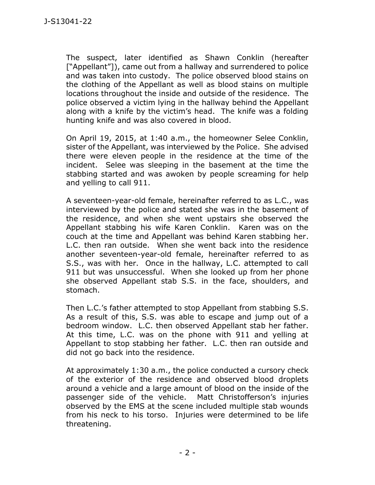The suspect, later identified as Shawn Conklin (hereafter ["Appellant"]), came out from a hallway and surrendered to police and was taken into custody. The police observed blood stains on the clothing of the Appellant as well as blood stains on multiple locations throughout the inside and outside of the residence. The police observed a victim lying in the hallway behind the Appellant along with a knife by the victim's head. The knife was a folding hunting knife and was also covered in blood.

On April 19, 2015, at 1:40 a.m., the homeowner Selee Conklin, sister of the Appellant, was interviewed by the Police. She advised there were eleven people in the residence at the time of the incident. Selee was sleeping in the basement at the time the stabbing started and was awoken by people screaming for help and yelling to call 911.

A seventeen-year-old female, hereinafter referred to as L.C., was interviewed by the police and stated she was in the basement of the residence, and when she went upstairs she observed the Appellant stabbing his wife Karen Conklin. Karen was on the couch at the time and Appellant was behind Karen stabbing her. L.C. then ran outside. When she went back into the residence another seventeen-year-old female, hereinafter referred to as S.S., was with her. Once in the hallway, L.C. attempted to call 911 but was unsuccessful. When she looked up from her phone she observed Appellant stab S.S. in the face, shoulders, and stomach.

Then L.C.'s father attempted to stop Appellant from stabbing S.S. As a result of this, S.S. was able to escape and jump out of a bedroom window. L.C. then observed Appellant stab her father. At this time, L.C. was on the phone with 911 and yelling at Appellant to stop stabbing her father. L.C. then ran outside and did not go back into the residence.

At approximately 1:30 a.m., the police conducted a cursory check of the exterior of the residence and observed blood droplets around a vehicle and a large amount of blood on the inside of the passenger side of the vehicle. Matt Christofferson's injuries observed by the EMS at the scene included multiple stab wounds from his neck to his torso. Injuries were determined to be life threatening.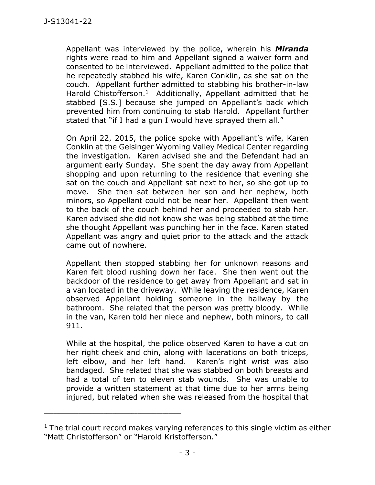Appellant was interviewed by the police, wherein his *Miranda* rights were read to him and Appellant signed a waiver form and consented to be interviewed. Appellant admitted to the police that he repeatedly stabbed his wife, Karen Conklin, as she sat on the couch. Appellant further admitted to stabbing his brother-in-law Harold Chistofferson.<sup>1</sup> Additionally, Appellant admitted that he stabbed [S.S.] because she jumped on Appellant's back which prevented him from continuing to stab Harold. Appellant further stated that "if I had a gun I would have sprayed them all."

On April 22, 2015, the police spoke with Appellant's wife, Karen Conklin at the Geisinger Wyoming Valley Medical Center regarding the investigation. Karen advised she and the Defendant had an argument early Sunday. She spent the day away from Appellant shopping and upon returning to the residence that evening she sat on the couch and Appellant sat next to her, so she got up to move. She then sat between her son and her nephew, both minors, so Appellant could not be near her. Appellant then went to the back of the couch behind her and proceeded to stab her. Karen advised she did not know she was being stabbed at the time she thought Appellant was punching her in the face. Karen stated Appellant was angry and quiet prior to the attack and the attack came out of nowhere.

Appellant then stopped stabbing her for unknown reasons and Karen felt blood rushing down her face. She then went out the backdoor of the residence to get away from Appellant and sat in a van located in the driveway. While leaving the residence, Karen observed Appellant holding someone in the hallway by the bathroom. She related that the person was pretty bloody. While in the van, Karen told her niece and nephew, both minors, to call 911.

While at the hospital, the police observed Karen to have a cut on her right cheek and chin, along with lacerations on both triceps, left elbow, and her left hand. Karen's right wrist was also bandaged. She related that she was stabbed on both breasts and had a total of ten to eleven stab wounds. She was unable to provide a written statement at that time due to her arms being injured, but related when she was released from the hospital that

 $1$  The trial court record makes varying references to this single victim as either "Matt Christofferson" or "Harold Kristofferson."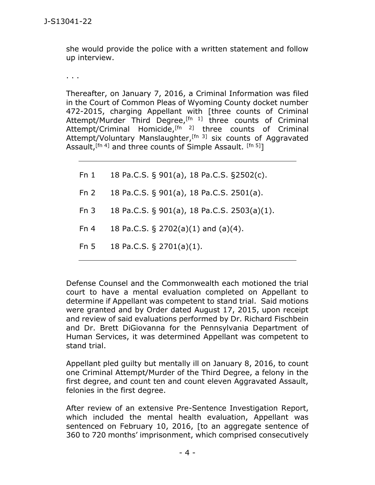she would provide the police with a written statement and follow up interview.

. . .

Thereafter, on January 7, 2016, a Criminal Information was filed in the Court of Common Pleas of Wyoming County docket number 472-2015, charging Appellant with [three counts of Criminal Attempt/Murder Third Degree,<sup>[fn 1]</sup> three counts of Criminal Attempt/Criminal Homicide,<sup>[fn 2]</sup> three counts of Criminal Attempt/Voluntary Manslaughter, $[fn 3]$  six counts of Aggravated Assault,  $[fn 4]$  and three counts of Simple Assault.  $[fn 5]$ ]

Fn 1 18 Pa.C.S. § 901(a), 18 Pa.C.S. §2502(c).

Fn 2 18 Pa.C.S. § 901(a), 18 Pa.C.S. 2501(a).

- Fn 3 18 Pa.C.S. § 901(a), 18 Pa.C.S. 2503(a)(1).
- Fn 4 18 Pa.C.S. § 2702(a)(1) and (a)(4).
- Fn 5 18 Pa.C.S. § 2701(a)(1).

Defense Counsel and the Commonwealth each motioned the trial court to have a mental evaluation completed on Appellant to determine if Appellant was competent to stand trial. Said motions were granted and by Order dated August 17, 2015, upon receipt and review of said evaluations performed by Dr. Richard Fischbein and Dr. Brett DiGiovanna for the Pennsylvania Department of Human Services, it was determined Appellant was competent to stand trial.

Appellant pled guilty but mentally ill on January 8, 2016, to count one Criminal Attempt/Murder of the Third Degree, a felony in the first degree, and count ten and count eleven Aggravated Assault, felonies in the first degree.

After review of an extensive Pre-Sentence Investigation Report, which included the mental health evaluation, Appellant was sentenced on February 10, 2016, [to an aggregate sentence of 360 to 720 months' imprisonment, which comprised consecutively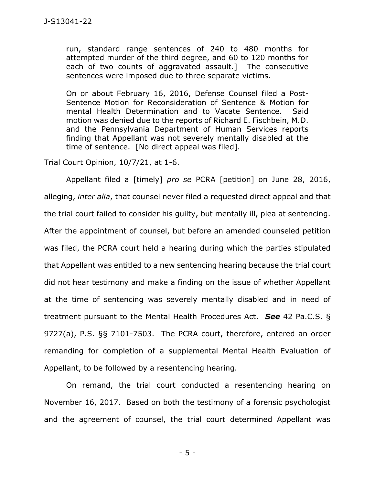run, standard range sentences of 240 to 480 months for attempted murder of the third degree, and 60 to 120 months for each of two counts of aggravated assault.] The consecutive sentences were imposed due to three separate victims.

On or about February 16, 2016, Defense Counsel filed a Post-Sentence Motion for Reconsideration of Sentence & Motion for mental Health Determination and to Vacate Sentence. Said motion was denied due to the reports of Richard E. Fischbein, M.D. and the Pennsylvania Department of Human Services reports finding that Appellant was not severely mentally disabled at the time of sentence. [No direct appeal was filed].

Trial Court Opinion, 10/7/21, at 1-6.

Appellant filed a [timely] *pro se* PCRA [petition] on June 28, 2016, alleging, *inter alia*, that counsel never filed a requested direct appeal and that the trial court failed to consider his guilty, but mentally ill, plea at sentencing. After the appointment of counsel, but before an amended counseled petition was filed, the PCRA court held a hearing during which the parties stipulated that Appellant was entitled to a new sentencing hearing because the trial court did not hear testimony and make a finding on the issue of whether Appellant at the time of sentencing was severely mentally disabled and in need of treatment pursuant to the Mental Health Procedures Act. *See* 42 Pa.C.S. § 9727(a), P.S. §§ 7101-7503. The PCRA court, therefore, entered an order remanding for completion of a supplemental Mental Health Evaluation of Appellant, to be followed by a resentencing hearing.

On remand, the trial court conducted a resentencing hearing on November 16, 2017. Based on both the testimony of a forensic psychologist and the agreement of counsel, the trial court determined Appellant was

- 5 -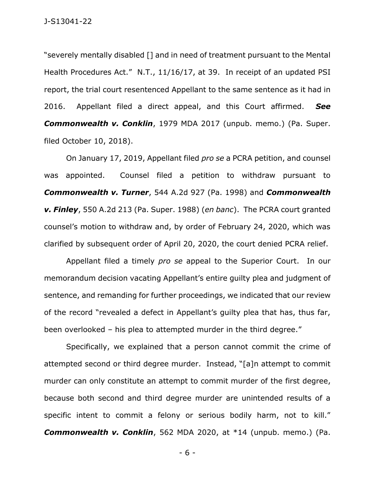"severely mentally disabled [] and in need of treatment pursuant to the Mental Health Procedures Act." N.T., 11/16/17, at 39. In receipt of an updated PSI report, the trial court resentenced Appellant to the same sentence as it had in 2016. Appellant filed a direct appeal, and this Court affirmed. *See Commonwealth v. Conklin*, 1979 MDA 2017 (unpub. memo.) (Pa. Super. filed October 10, 2018).

On January 17, 2019, Appellant filed *pro se* a PCRA petition, and counsel was appointed. Counsel filed a petition to withdraw pursuant to *Commonwealth v. Turner*, 544 A.2d 927 (Pa. 1998) and *Commonwealth v. Finley*, 550 A.2d 213 (Pa. Super. 1988) (*en banc*). The PCRA court granted counsel's motion to withdraw and, by order of February 24, 2020, which was clarified by subsequent order of April 20, 2020, the court denied PCRA relief.

Appellant filed a timely *pro se* appeal to the Superior Court. In our memorandum decision vacating Appellant's entire guilty plea and judgment of sentence, and remanding for further proceedings, we indicated that our review of the record "revealed a defect in Appellant's guilty plea that has, thus far, been overlooked – his plea to attempted murder in the third degree."

Specifically, we explained that a person cannot commit the crime of attempted second or third degree murder. Instead, "[a]n attempt to commit murder can only constitute an attempt to commit murder of the first degree, because both second and third degree murder are unintended results of a specific intent to commit a felony or serious bodily harm, not to kill." *Commonwealth v. Conklin*, 562 MDA 2020, at \*14 (unpub. memo.) (Pa.

- 6 -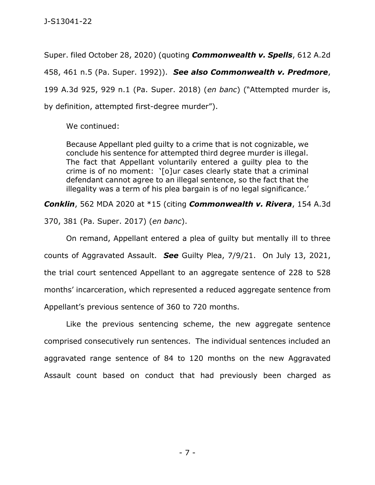Super. filed October 28, 2020) (quoting *Commonwealth v. Spells*, 612 A.2d 458, 461 n.5 (Pa. Super. 1992)). *See also Commonwealth v. Predmore*, 199 A.3d 925, 929 n.1 (Pa. Super. 2018) (*en banc*) ("Attempted murder is, by definition, attempted first-degree murder").

We continued:

Because Appellant pled guilty to a crime that is not cognizable, we conclude his sentence for attempted third degree murder is illegal. The fact that Appellant voluntarily entered a guilty plea to the crime is of no moment: '[o]ur cases clearly state that a criminal defendant cannot agree to an illegal sentence, so the fact that the illegality was a term of his plea bargain is of no legal significance.'

*Conklin*, 562 MDA 2020 at \*15 (citing *Commonwealth v. Rivera*, 154 A.3d

370, 381 (Pa. Super. 2017) (*en banc*).

On remand, Appellant entered a plea of guilty but mentally ill to three counts of Aggravated Assault. *See* Guilty Plea, 7/9/21. On July 13, 2021, the trial court sentenced Appellant to an aggregate sentence of 228 to 528 months' incarceration, which represented a reduced aggregate sentence from Appellant's previous sentence of 360 to 720 months.

Like the previous sentencing scheme, the new aggregate sentence comprised consecutively run sentences. The individual sentences included an aggravated range sentence of 84 to 120 months on the new Aggravated Assault count based on conduct that had previously been charged as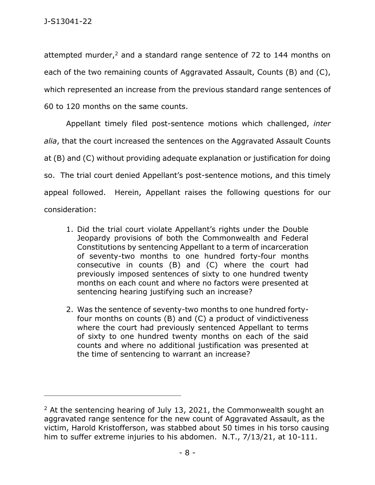attempted murder,<sup>2</sup> and a standard range sentence of 72 to 144 months on each of the two remaining counts of Aggravated Assault, Counts (B) and (C), which represented an increase from the previous standard range sentences of 60 to 120 months on the same counts.

Appellant timely filed post-sentence motions which challenged, *inter alia*, that the court increased the sentences on the Aggravated Assault Counts at (B) and (C) without providing adequate explanation or justification for doing so. The trial court denied Appellant's post-sentence motions, and this timely appeal followed. Herein, Appellant raises the following questions for our consideration:

- 1. Did the trial court violate Appellant's rights under the Double Jeopardy provisions of both the Commonwealth and Federal Constitutions by sentencing Appellant to a term of incarceration of seventy-two months to one hundred forty-four months consecutive in counts (B) and (C) where the court had previously imposed sentences of sixty to one hundred twenty months on each count and where no factors were presented at sentencing hearing justifying such an increase?
- 2. Was the sentence of seventy-two months to one hundred fortyfour months on counts (B) and (C) a product of vindictiveness where the court had previously sentenced Appellant to terms of sixty to one hundred twenty months on each of the said counts and where no additional justification was presented at the time of sentencing to warrant an increase?

<sup>&</sup>lt;sup>2</sup> At the sentencing hearing of July 13, 2021, the Commonwealth sought an aggravated range sentence for the new count of Aggravated Assault, as the victim, Harold Kristofferson, was stabbed about 50 times in his torso causing him to suffer extreme injuries to his abdomen. N.T., 7/13/21, at 10-111.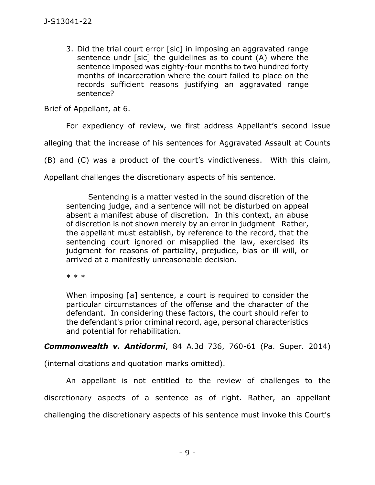3. Did the trial court error [sic] in imposing an aggravated range sentence undr [sic] the guidelines as to count (A) where the sentence imposed was eighty-four months to two hundred forty months of incarceration where the court failed to place on the records sufficient reasons justifying an aggravated range sentence?

Brief of Appellant, at 6.

For expediency of review, we first address Appellant's second issue

alleging that the increase of his sentences for Aggravated Assault at Counts

(B) and (C) was a product of the court's vindictiveness. With this claim,

Appellant challenges the discretionary aspects of his sentence.

Sentencing is a matter vested in the sound discretion of the sentencing judge, and a sentence will not be disturbed on appeal absent a manifest abuse of discretion. In this context, an abuse of discretion is not shown merely by an error in judgment Rather, the appellant must establish, by reference to the record, that the sentencing court ignored or misapplied the law, exercised its judgment for reasons of partiality, prejudice, bias or ill will, or arrived at a manifestly unreasonable decision.

\* \* \*

When imposing [a] sentence, a court is required to consider the particular circumstances of the offense and the character of the defendant. In considering these factors, the court should refer to the defendant's prior criminal record, age, personal characteristics and potential for rehabilitation.

*Commonwealth v. Antidormi*, 84 A.3d 736, 760-61 (Pa. Super. 2014)

(internal citations and quotation marks omitted).

An appellant is not entitled to the review of challenges to the discretionary aspects of a sentence as of right. Rather, an appellant challenging the discretionary aspects of his sentence must invoke this Court's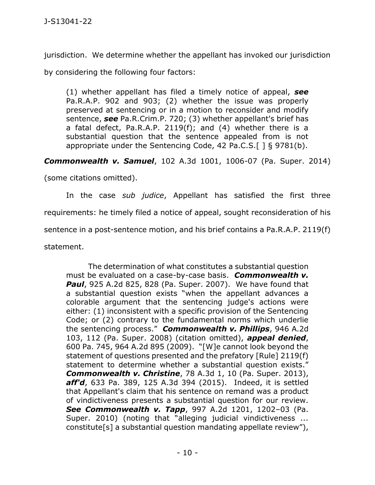jurisdiction. We determine whether the appellant has invoked our jurisdiction

by considering the following four factors:

(1) whether appellant has filed a timely notice of appeal, *see* Pa.R.A.P. 902 and 903; (2) whether the issue was properly preserved at sentencing or in a motion to reconsider and modify sentence, *see* Pa.R.Crim.P. 720; (3) whether appellant's brief has a fatal defect, Pa.R.A.P. 2119(f); and (4) whether there is a substantial question that the sentence appealed from is not appropriate under the Sentencing Code, 42 Pa.C.S.[ ] § 9781(b).

*Commonwealth v. Samuel*, 102 A.3d 1001, 1006-07 (Pa. Super. 2014)

(some citations omitted).

In the case *sub judice*, Appellant has satisfied the first three requirements: he timely filed a notice of appeal, sought reconsideration of his sentence in a post-sentence motion, and his brief contains a Pa.R.A.P. 2119(f) statement.

The determination of what constitutes a substantial question must be evaluated on a case-by-case basis. *Commonwealth v. Paul*, 925 A.2d 825, 828 (Pa. Super. 2007). We have found that a substantial question exists "when the appellant advances a colorable argument that the sentencing judge's actions were either: (1) inconsistent with a specific provision of the Sentencing Code; or (2) contrary to the fundamental norms which underlie the sentencing process." *Commonwealth v. Phillips*, 946 A.2d 103, 112 (Pa. Super. 2008) (citation omitted), *appeal denied*, 600 Pa. 745, 964 A.2d 895 (2009). "[W]e cannot look beyond the statement of questions presented and the prefatory [Rule] 2119(f) statement to determine whether a substantial question exists." *Commonwealth v. Christine*, 78 A.3d 1, 10 (Pa. Super. 2013), *aff'd*, 633 Pa. 389, 125 A.3d 394 (2015). Indeed, it is settled that Appellant's claim that his sentence on remand was a product of vindictiveness presents a substantial question for our review. *See Commonwealth v. Tapp*, 997 A.2d 1201, 1202–03 (Pa. Super. 2010) (noting that "alleging judicial vindictiveness ... constitute[s] a substantial question mandating appellate review"),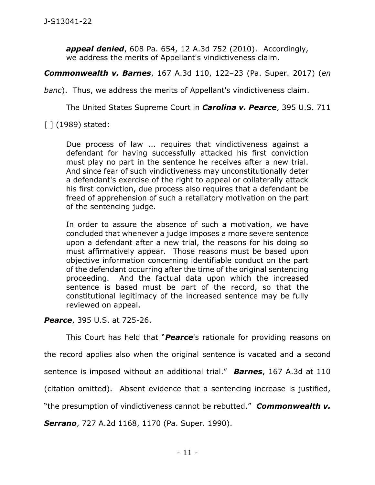*appeal denied*, 608 Pa. 654, 12 A.3d 752 (2010). Accordingly, we address the merits of Appellant's vindictiveness claim.

*Commonwealth v. Barnes*, 167 A.3d 110, 122–23 (Pa. Super. 2017) (*en* 

*banc*). Thus, we address the merits of Appellant's vindictiveness claim.

The United States Supreme Court in *Carolina v. Pearce*, 395 U.S. 711

[ ] (1989) stated:

Due process of law ... requires that vindictiveness against a defendant for having successfully attacked his first conviction must play no part in the sentence he receives after a new trial. And since fear of such vindictiveness may unconstitutionally deter a defendant's exercise of the right to appeal or collaterally attack his first conviction, due process also requires that a defendant be freed of apprehension of such a retaliatory motivation on the part of the sentencing judge.

In order to assure the absence of such a motivation, we have concluded that whenever a judge imposes a more severe sentence upon a defendant after a new trial, the reasons for his doing so must affirmatively appear. Those reasons must be based upon objective information concerning identifiable conduct on the part of the defendant occurring after the time of the original sentencing proceeding. And the factual data upon which the increased sentence is based must be part of the record, so that the constitutional legitimacy of the increased sentence may be fully reviewed on appeal.

*Pearce*, 395 U.S. at 725-26.

This Court has held that "*Pearce*'s rationale for providing reasons on

the record applies also when the original sentence is vacated and a second

sentence is imposed without an additional trial." *Barnes*, 167 A.3d at 110

(citation omitted). Absent evidence that a sentencing increase is justified,

"the presumption of vindictiveness cannot be rebutted." *Commonwealth v.* 

*Serrano*, 727 A.2d 1168, 1170 (Pa. Super. 1990).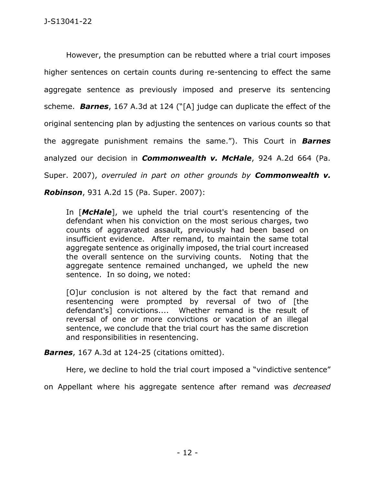However, the presumption can be rebutted where a trial court imposes higher sentences on certain counts during re-sentencing to effect the same aggregate sentence as previously imposed and preserve its sentencing scheme. *Barnes*, 167 A.3d at 124 ("[A] judge can duplicate the effect of the original sentencing plan by adjusting the sentences on various counts so that the aggregate punishment remains the same."). This Court in *Barnes* analyzed our decision in *Commonwealth v. McHale*, 924 A.2d 664 (Pa. Super. 2007), *overruled in part on other grounds by Commonwealth v.* 

*Robinson*, 931 A.2d 15 (Pa. Super. 2007):

In [*McHale*], we upheld the trial court's resentencing of the defendant when his conviction on the most serious charges, two counts of aggravated assault, previously had been based on insufficient evidence. After remand, to maintain the same total aggregate sentence as originally imposed, the trial court increased the overall sentence on the surviving counts. Noting that the aggregate sentence remained unchanged, we upheld the new sentence. In so doing, we noted:

[O]ur conclusion is not altered by the fact that remand and resentencing were prompted by reversal of two of [the defendant's] convictions.... Whether remand is the result of reversal of one or more convictions or vacation of an illegal sentence, we conclude that the trial court has the same discretion and responsibilities in resentencing.

*Barnes*, 167 A.3d at 124-25 (citations omitted).

Here, we decline to hold the trial court imposed a "vindictive sentence"

on Appellant where his aggregate sentence after remand was *decreased*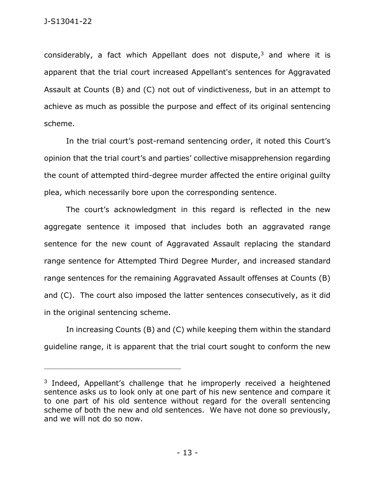considerably, a fact which Appellant does not dispute, $3$  and where it is apparent that the trial court increased Appellant's sentences for Aggravated Assault at Counts (B) and (C) not out of vindictiveness, but in an attempt to achieve as much as possible the purpose and effect of its original sentencing scheme.

In the trial court's post-remand sentencing order, it noted this Court's opinion that the trial court's and parties' collective misapprehension regarding the count of attempted third-degree murder affected the entire original guilty plea, which necessarily bore upon the corresponding sentence.

The court's acknowledgment in this regard is reflected in the new aggregate sentence it imposed that includes both an aggravated range sentence for the new count of Aggravated Assault replacing the standard range sentence for Attempted Third Degree Murder, and increased standard range sentences for the remaining Aggravated Assault offenses at Counts (B) and (C). The court also imposed the latter sentences consecutively, as it did in the original sentencing scheme.

In increasing Counts (B) and (C) while keeping them within the standard guideline range, it is apparent that the trial court sought to conform the new

<sup>&</sup>lt;sup>3</sup> Indeed, Appellant's challenge that he improperly received a heightened sentence asks us to look only at one part of his new sentence and compare it to one part of his old sentence without regard for the overall sentencing scheme of both the new and old sentences. We have not done so previously, and we will not do so now.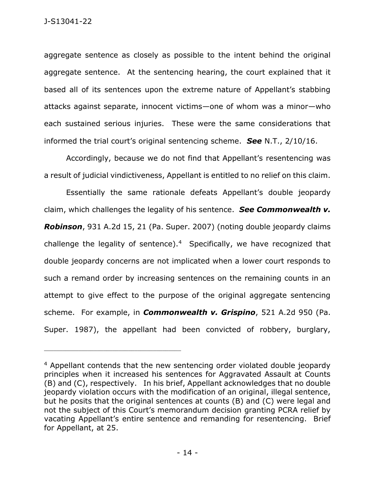aggregate sentence as closely as possible to the intent behind the original aggregate sentence. At the sentencing hearing, the court explained that it based all of its sentences upon the extreme nature of Appellant's stabbing attacks against separate, innocent victims—one of whom was a minor—who each sustained serious injuries. These were the same considerations that informed the trial court's original sentencing scheme. *See* N.T., 2/10/16.

Accordingly, because we do not find that Appellant's resentencing was a result of judicial vindictiveness, Appellant is entitled to no relief on this claim.

Essentially the same rationale defeats Appellant's double jeopardy claim, which challenges the legality of his sentence. *See Commonwealth v. Robinson*, 931 A.2d 15, 21 (Pa. Super. 2007) (noting double jeopardy claims challenge the legality of sentence).<sup>4</sup> Specifically, we have recognized that double jeopardy concerns are not implicated when a lower court responds to such a remand order by increasing sentences on the remaining counts in an attempt to give effect to the purpose of the original aggregate sentencing scheme. For example, in *Commonwealth v. Grispino*, 521 A.2d 950 (Pa. Super. 1987), the appellant had been convicted of robbery, burglary,

<sup>4</sup> Appellant contends that the new sentencing order violated double jeopardy principles when it increased his sentences for Aggravated Assault at Counts (B) and (C), respectively. In his brief, Appellant acknowledges that no double jeopardy violation occurs with the modification of an original, illegal sentence, but he posits that the original sentences at counts (B) and (C) were legal and not the subject of this Court's memorandum decision granting PCRA relief by vacating Appellant's entire sentence and remanding for resentencing. Brief for Appellant, at 25.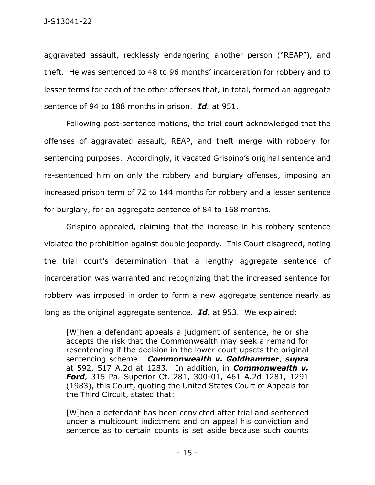aggravated assault, recklessly endangering another person ("REAP"), and theft. He was sentenced to 48 to 96 months' incarceration for robbery and to lesser terms for each of the other offenses that, in total, formed an aggregate sentence of 94 to 188 months in prison. *Id.* at 951.

Following post-sentence motions, the trial court acknowledged that the offenses of aggravated assault, REAP, and theft merge with robbery for sentencing purposes. Accordingly, it vacated Grispino's original sentence and re-sentenced him on only the robbery and burglary offenses, imposing an increased prison term of 72 to 144 months for robbery and a lesser sentence for burglary, for an aggregate sentence of 84 to 168 months.

Grispino appealed, claiming that the increase in his robbery sentence violated the prohibition against double jeopardy. This Court disagreed, noting the trial court's determination that a lengthy aggregate sentence of incarceration was warranted and recognizing that the increased sentence for robbery was imposed in order to form a new aggregate sentence nearly as long as the original aggregate sentence. *Id.* at 953. We explained:

[W]hen a defendant appeals a judgment of sentence, he or she accepts the risk that the Commonwealth may seek a remand for resentencing if the decision in the lower court upsets the original sentencing scheme. *Commonwealth v. Goldhammer*, *supra* at 592, 517 A.2d at 1283. In addition, in *Commonwealth v. Ford,* 315 Pa. Superior Ct. 281, 300-01, 461 A.2d 1281, 1291 (1983), this Court, quoting the United States Court of Appeals for the Third Circuit, stated that:

[W]hen a defendant has been convicted after trial and sentenced under a multicount indictment and on appeal his conviction and sentence as to certain counts is set aside because such counts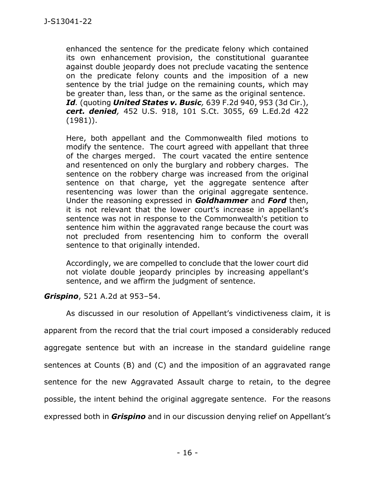enhanced the sentence for the predicate felony which contained its own enhancement provision, the constitutional guarantee against double jeopardy does not preclude vacating the sentence on the predicate felony counts and the imposition of a new sentence by the trial judge on the remaining counts, which may be greater than, less than, or the same as the original sentence. *Id.* (quoting *United States v. Busic,* 639 F.2d 940, 953 (3d Cir.), *cert. denied,* 452 U.S. 918, 101 S.Ct. 3055, 69 L.Ed.2d 422 (1981)).

Here, both appellant and the Commonwealth filed motions to modify the sentence. The court agreed with appellant that three of the charges merged. The court vacated the entire sentence and resentenced on only the burglary and robbery charges. The sentence on the robbery charge was increased from the original sentence on that charge, yet the aggregate sentence after resentencing was lower than the original aggregate sentence. Under the reasoning expressed in *Goldhammer* and *Ford* then, it is not relevant that the lower court's increase in appellant's sentence was not in response to the Commonwealth's petition to sentence him within the aggravated range because the court was not precluded from resentencing him to conform the overall sentence to that originally intended.

Accordingly, we are compelled to conclude that the lower court did not violate double jeopardy principles by increasing appellant's sentence, and we affirm the judgment of sentence.

## *Grispino*, 521 A.2d at 953–54.

As discussed in our resolution of Appellant's vindictiveness claim, it is apparent from the record that the trial court imposed a considerably reduced aggregate sentence but with an increase in the standard guideline range sentences at Counts (B) and (C) and the imposition of an aggravated range sentence for the new Aggravated Assault charge to retain, to the degree possible, the intent behind the original aggregate sentence. For the reasons expressed both in *Grispino* and in our discussion denying relief on Appellant's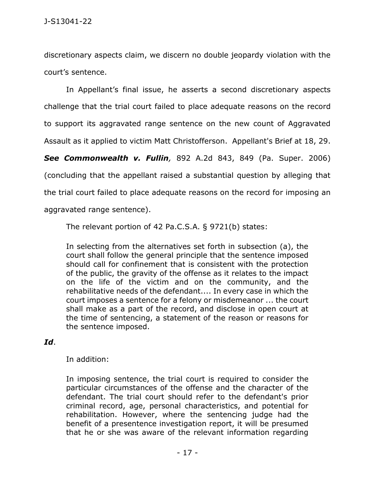discretionary aspects claim, we discern no double jeopardy violation with the court's sentence.

In Appellant's final issue, he asserts a second discretionary aspects challenge that the trial court failed to place adequate reasons on the record to support its aggravated range sentence on the new count of Aggravated Assault as it applied to victim Matt Christofferson. Appellant's Brief at 18, 29.

*See Commonwealth v. Fullin,* 892 A.2d 843, 849 (Pa. Super. 2006) (concluding that the appellant raised a substantial question by alleging that the trial court failed to place adequate reasons on the record for imposing an aggravated range sentence).

The relevant portion of 42 Pa.C.S.A. § 9721(b) states:

In selecting from the alternatives set forth in subsection (a), the court shall follow the general principle that the sentence imposed should call for confinement that is consistent with the protection of the public, the gravity of the offense as it relates to the impact on the life of the victim and on the community, and the rehabilitative needs of the defendant.... In every case in which the court imposes a sentence for a felony or misdemeanor ... the court shall make as a part of the record, and disclose in open court at the time of sentencing, a statement of the reason or reasons for the sentence imposed.

## *Id*.

## In addition:

In imposing sentence, the trial court is required to consider the particular circumstances of the offense and the character of the defendant. The trial court should refer to the defendant's prior criminal record, age, personal characteristics, and potential for rehabilitation. However, where the sentencing judge had the benefit of a presentence investigation report, it will be presumed that he or she was aware of the relevant information regarding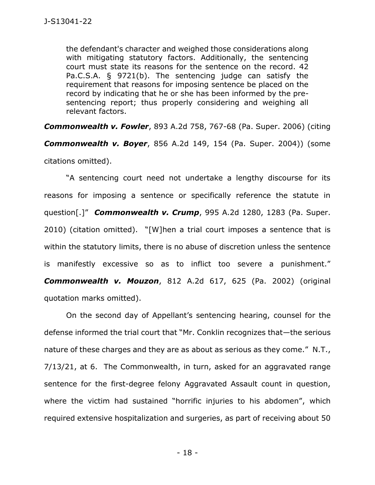the defendant's character and weighed those considerations along with mitigating statutory factors. Additionally, the sentencing court must state its reasons for the sentence on the record. 42 Pa.C.S.A. § 9721(b). The sentencing judge can satisfy the requirement that reasons for imposing sentence be placed on the record by indicating that he or she has been informed by the presentencing report; thus properly considering and weighing all relevant factors.

*Commonwealth v. Fowler*, 893 A.2d 758, 767-68 (Pa. Super. 2006) (citing *Commonwealth v. Boyer*, 856 A.2d 149, 154 (Pa. Super. 2004)) (some citations omitted).

"A sentencing court need not undertake a lengthy discourse for its reasons for imposing a sentence or specifically reference the statute in question[.]" *Commonwealth v. Crump*, 995 A.2d 1280, 1283 (Pa. Super. 2010) (citation omitted). "[W]hen a trial court imposes a sentence that is within the statutory limits, there is no abuse of discretion unless the sentence is manifestly excessive so as to inflict too severe a punishment." *Commonwealth v. Mouzon*, 812 A.2d 617, 625 (Pa. 2002) (original quotation marks omitted).

On the second day of Appellant's sentencing hearing, counsel for the defense informed the trial court that "Mr. Conklin recognizes that—the serious nature of these charges and they are as about as serious as they come." N.T., 7/13/21, at 6. The Commonwealth, in turn, asked for an aggravated range sentence for the first-degree felony Aggravated Assault count in question, where the victim had sustained "horrific injuries to his abdomen", which required extensive hospitalization and surgeries, as part of receiving about 50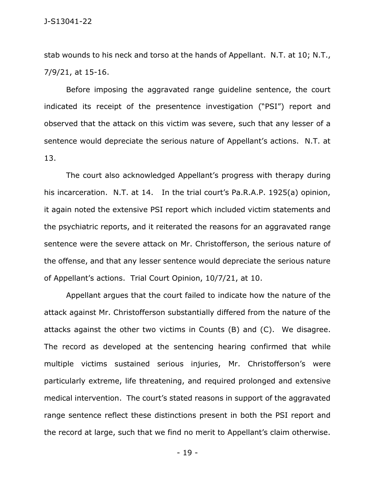stab wounds to his neck and torso at the hands of Appellant. N.T. at 10; N.T., 7/9/21, at 15-16.

Before imposing the aggravated range guideline sentence, the court indicated its receipt of the presentence investigation ("PSI") report and observed that the attack on this victim was severe, such that any lesser of a sentence would depreciate the serious nature of Appellant's actions. N.T. at 13.

The court also acknowledged Appellant's progress with therapy during his incarceration. N.T. at 14. In the trial court's Pa.R.A.P. 1925(a) opinion, it again noted the extensive PSI report which included victim statements and the psychiatric reports, and it reiterated the reasons for an aggravated range sentence were the severe attack on Mr. Christofferson, the serious nature of the offense, and that any lesser sentence would depreciate the serious nature of Appellant's actions. Trial Court Opinion, 10/7/21, at 10.

Appellant argues that the court failed to indicate how the nature of the attack against Mr. Christofferson substantially differed from the nature of the attacks against the other two victims in Counts (B) and (C). We disagree. The record as developed at the sentencing hearing confirmed that while multiple victims sustained serious injuries, Mr. Christofferson's were particularly extreme, life threatening, and required prolonged and extensive medical intervention. The court's stated reasons in support of the aggravated range sentence reflect these distinctions present in both the PSI report and the record at large, such that we find no merit to Appellant's claim otherwise.

- 19 -